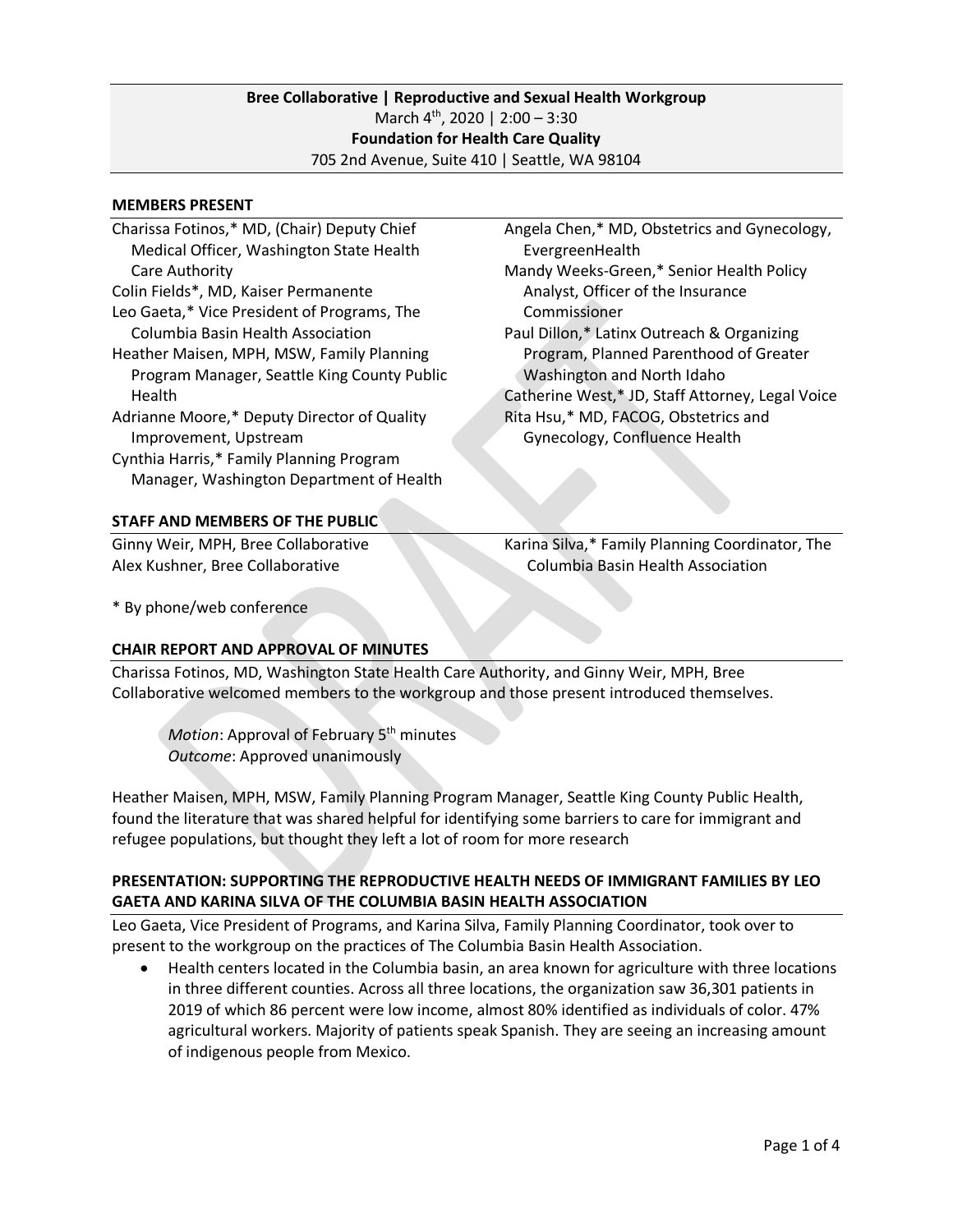## **Bree Collaborative | Reproductive and Sexual Health Workgroup** March 4<sup>th</sup>, 2020 | 2:00 - 3:30 **Foundation for Health Care Quality** 705 2nd Avenue, Suite 410 | Seattle, WA 98104

#### **MEMBERS PRESENT**

| Charissa Fotinos,* MD, (Chair) Deputy Chief | Angela Chen,* MD, Obstetrics and Gynecology,     |
|---------------------------------------------|--------------------------------------------------|
| Medical Officer, Washington State Health    | EvergreenHealth                                  |
| Care Authority                              | Mandy Weeks-Green,* Senior Health Policy         |
| Colin Fields*, MD, Kaiser Permanente        | Analyst, Officer of the Insurance                |
| Leo Gaeta,* Vice President of Programs, The | Commissioner                                     |
| Columbia Basin Health Association           | Paul Dillon,* Latinx Outreach & Organizing       |
| Heather Maisen, MPH, MSW, Family Planning   | Program, Planned Parenthood of Greater           |
| Program Manager, Seattle King County Public | Washington and North Idaho                       |
| <b>Health</b>                               | Catherine West,* JD, Staff Attorney, Legal Voice |
| Adrianne Moore,* Deputy Director of Quality | Rita Hsu,* MD, FACOG, Obstetrics and             |
| Improvement, Upstream                       | Gynecology, Confluence Health                    |
| Cynthia Harris,* Family Planning Program    |                                                  |
| Manager, Washington Department of Health    |                                                  |
|                                             |                                                  |
| <b>STAFF AND MEMBERS OF THE PUBLIC</b>      |                                                  |
| Ginny Weir, MPH, Bree Collaborative         | Karina Silva,* Family Planning Coordinator, The  |
| Alex Kushner, Bree Collaborative            | Columbia Basin Health Association                |

\* By phone/web conference

### **CHAIR REPORT AND APPROVAL OF MINUTES**

Charissa Fotinos, MD, Washington State Health Care Authority, and Ginny Weir, MPH, Bree Collaborative welcomed members to the workgroup and those present introduced themselves.

*Motion*: Approval of February 5<sup>th</sup> minutes *Outcome*: Approved unanimously

Heather Maisen, MPH, MSW, Family Planning Program Manager, Seattle King County Public Health, found the literature that was shared helpful for identifying some barriers to care for immigrant and refugee populations, but thought they left a lot of room for more research

### **PRESENTATION: SUPPORTING THE REPRODUCTIVE HEALTH NEEDS OF IMMIGRANT FAMILIES BY LEO GAETA AND KARINA SILVA OF THE COLUMBIA BASIN HEALTH ASSOCIATION**

Leo Gaeta, Vice President of Programs, and Karina Silva, Family Planning Coordinator, took over to present to the workgroup on the practices of The Columbia Basin Health Association.

• Health centers located in the Columbia basin, an area known for agriculture with three locations in three different counties. Across all three locations, the organization saw 36,301 patients in 2019 of which 86 percent were low income, almost 80% identified as individuals of color. 47% agricultural workers. Majority of patients speak Spanish. They are seeing an increasing amount of indigenous people from Mexico.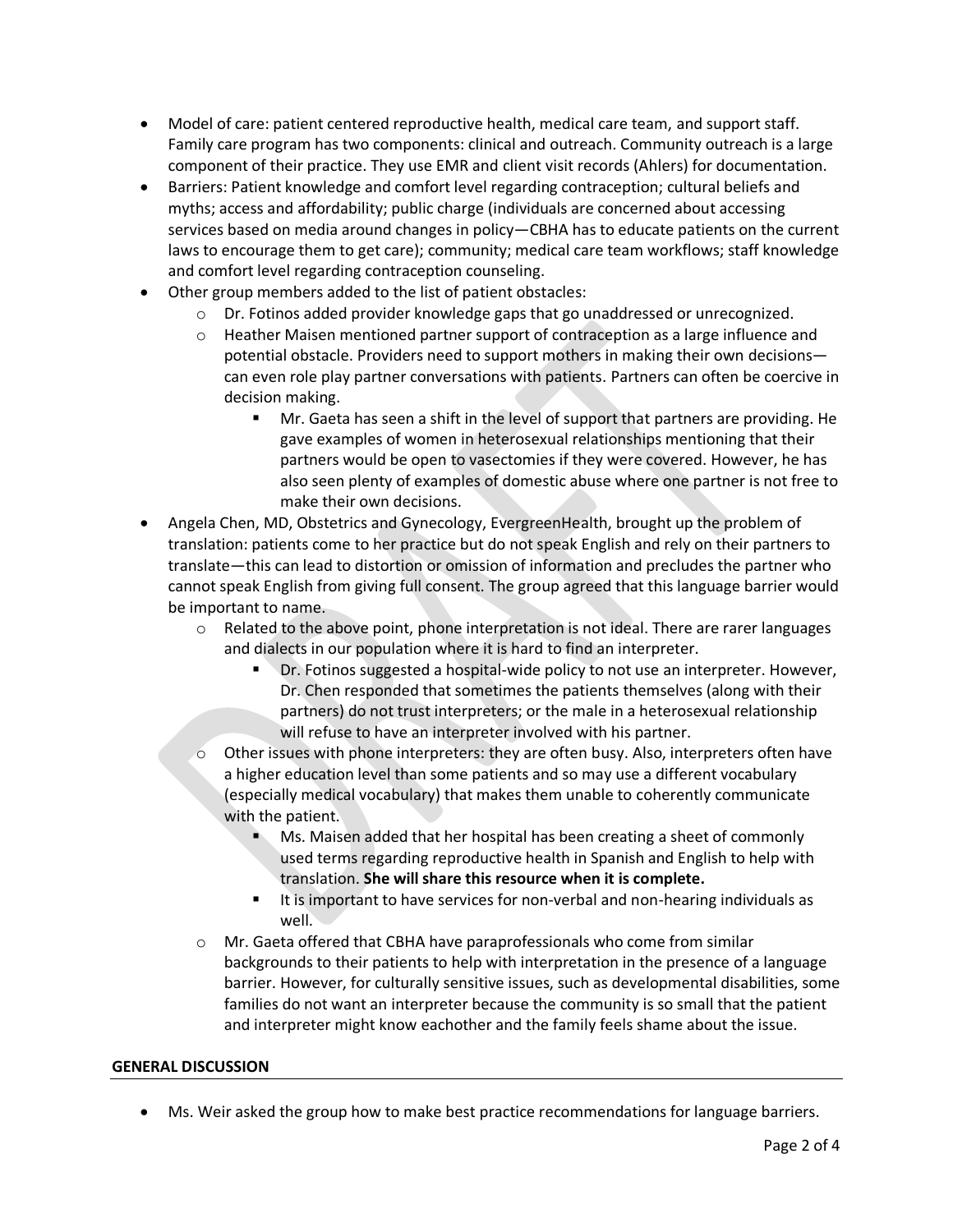- Model of care: patient centered reproductive health, medical care team, and support staff. Family care program has two components: clinical and outreach. Community outreach is a large component of their practice. They use EMR and client visit records (Ahlers) for documentation.
- Barriers: Patient knowledge and comfort level regarding contraception; cultural beliefs and myths; access and affordability; public charge (individuals are concerned about accessing services based on media around changes in policy—CBHA has to educate patients on the current laws to encourage them to get care); community; medical care team workflows; staff knowledge and comfort level regarding contraception counseling.
- Other group members added to the list of patient obstacles:
	- o Dr. Fotinos added provider knowledge gaps that go unaddressed or unrecognized.
	- $\circ$  Heather Maisen mentioned partner support of contraception as a large influence and potential obstacle. Providers need to support mothers in making their own decisions can even role play partner conversations with patients. Partners can often be coercive in decision making.
		- Mr. Gaeta has seen a shift in the level of support that partners are providing. He gave examples of women in heterosexual relationships mentioning that their partners would be open to vasectomies if they were covered. However, he has also seen plenty of examples of domestic abuse where one partner is not free to make their own decisions.
- Angela Chen, MD, Obstetrics and Gynecology, EvergreenHealth, brought up the problem of translation: patients come to her practice but do not speak English and rely on their partners to translate—this can lead to distortion or omission of information and precludes the partner who cannot speak English from giving full consent. The group agreed that this language barrier would be important to name.
	- $\circ$  Related to the above point, phone interpretation is not ideal. There are rarer languages and dialects in our population where it is hard to find an interpreter.
		- Dr. Fotinos suggested a hospital-wide policy to not use an interpreter. However, Dr. Chen responded that sometimes the patients themselves (along with their partners) do not trust interpreters; or the male in a heterosexual relationship will refuse to have an interpreter involved with his partner.
	- o Other issues with phone interpreters: they are often busy. Also, interpreters often have a higher education level than some patients and so may use a different vocabulary (especially medical vocabulary) that makes them unable to coherently communicate with the patient.
		- Ms. Maisen added that her hospital has been creating a sheet of commonly used terms regarding reproductive health in Spanish and English to help with translation. **She will share this resource when it is complete.**
		- It is important to have services for non-verbal and non-hearing individuals as well.
	- o Mr. Gaeta offered that CBHA have paraprofessionals who come from similar backgrounds to their patients to help with interpretation in the presence of a language barrier. However, for culturally sensitive issues, such as developmental disabilities, some families do not want an interpreter because the community is so small that the patient and interpreter might know eachother and the family feels shame about the issue.

#### **GENERAL DISCUSSION**

• Ms. Weir asked the group how to make best practice recommendations for language barriers.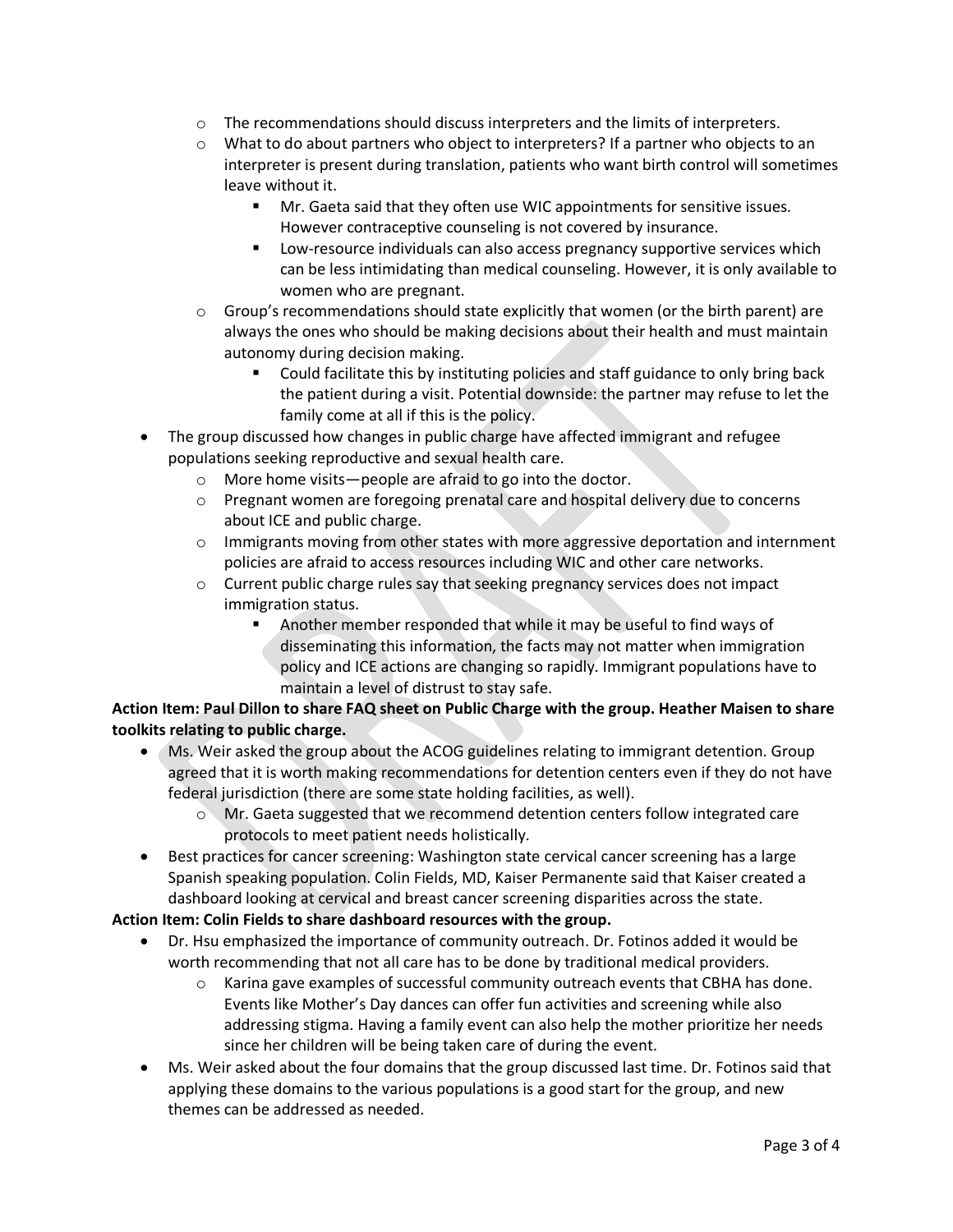- $\circ$  The recommendations should discuss interpreters and the limits of interpreters.
- o What to do about partners who object to interpreters? If a partner who objects to an interpreter is present during translation, patients who want birth control will sometimes leave without it.
	- Mr. Gaeta said that they often use WIC appointments for sensitive issues. However contraceptive counseling is not covered by insurance.
	- Low-resource individuals can also access pregnancy supportive services which can be less intimidating than medical counseling. However, it is only available to women who are pregnant.
- $\circ$  Group's recommendations should state explicitly that women (or the birth parent) are always the ones who should be making decisions about their health and must maintain autonomy during decision making.
	- Could facilitate this by instituting policies and staff guidance to only bring back the patient during a visit. Potential downside: the partner may refuse to let the family come at all if this is the policy.
- The group discussed how changes in public charge have affected immigrant and refugee populations seeking reproductive and sexual health care.
	- o More home visits—people are afraid to go into the doctor.
	- o Pregnant women are foregoing prenatal care and hospital delivery due to concerns about ICE and public charge.
	- $\circ$  Immigrants moving from other states with more aggressive deportation and internment policies are afraid to access resources including WIC and other care networks.
	- $\circ$  Current public charge rules say that seeking pregnancy services does not impact immigration status.
		- Another member responded that while it may be useful to find ways of disseminating this information, the facts may not matter when immigration policy and ICE actions are changing so rapidly. Immigrant populations have to maintain a level of distrust to stay safe.

# **Action Item: Paul Dillon to share FAQ sheet on Public Charge with the group. Heather Maisen to share toolkits relating to public charge.**

- Ms. Weir asked the group about the ACOG guidelines relating to immigrant detention. Group agreed that it is worth making recommendations for detention centers even if they do not have federal jurisdiction (there are some state holding facilities, as well).
	- o Mr. Gaeta suggested that we recommend detention centers follow integrated care protocols to meet patient needs holistically.
- Best practices for cancer screening: Washington state cervical cancer screening has a large Spanish speaking population. Colin Fields, MD, Kaiser Permanente said that Kaiser created a dashboard looking at cervical and breast cancer screening disparities across the state.

# **Action Item: Colin Fields to share dashboard resources with the group.**

- Dr. Hsu emphasized the importance of community outreach. Dr. Fotinos added it would be worth recommending that not all care has to be done by traditional medical providers.
	- $\circ$  Karina gave examples of successful community outreach events that CBHA has done. Events like Mother's Day dances can offer fun activities and screening while also addressing stigma. Having a family event can also help the mother prioritize her needs since her children will be being taken care of during the event.
- Ms. Weir asked about the four domains that the group discussed last time. Dr. Fotinos said that applying these domains to the various populations is a good start for the group, and new themes can be addressed as needed.